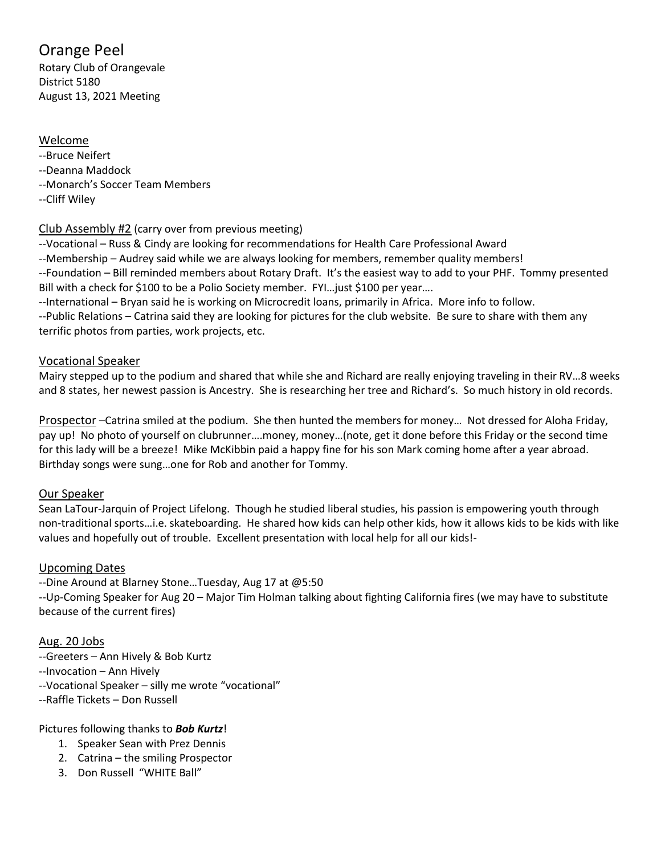# Orange Peel

Rotary Club of Orangevale District 5180 August 13, 2021 Meeting

#### Welcome

- --Bruce Neifert
- --Deanna Maddock
- --Monarch's Soccer Team Members
- --Cliff Wiley

## Club Assembly #2 (carry over from previous meeting)

- --Vocational Russ & Cindy are looking for recommendations for Health Care Professional Award
- --Membership Audrey said while we are always looking for members, remember quality members!

--Foundation – Bill reminded members about Rotary Draft. It's the easiest way to add to your PHF. Tommy presented Bill with a check for \$100 to be a Polio Society member. FYI…just \$100 per year….

--International – Bryan said he is working on Microcredit loans, primarily in Africa. More info to follow. --Public Relations – Catrina said they are looking for pictures for the club website. Be sure to share with them any terrific photos from parties, work projects, etc.

#### Vocational Speaker

Mairy stepped up to the podium and shared that while she and Richard are really enjoying traveling in their RV…8 weeks and 8 states, her newest passion is Ancestry. She is researching her tree and Richard's. So much history in old records.

Prospector –Catrina smiled at the podium. She then hunted the members for money… Not dressed for Aloha Friday, pay up! No photo of yourself on clubrunner….money, money…(note, get it done before this Friday or the second time for this lady will be a breeze! Mike McKibbin paid a happy fine for his son Mark coming home after a year abroad. Birthday songs were sung…one for Rob and another for Tommy.

## Our Speaker

Sean LaTour-Jarquin of Project Lifelong. Though he studied liberal studies, his passion is empowering youth through non-traditional sports…i.e. skateboarding. He shared how kids can help other kids, how it allows kids to be kids with like values and hopefully out of trouble. Excellent presentation with local help for all our kids!-

## Upcoming Dates

--Dine Around at Blarney Stone…Tuesday, Aug 17 at @5:50

--Up-Coming Speaker for Aug 20 – Major Tim Holman talking about fighting California fires (we may have to substitute because of the current fires)

## Aug. 20 Jobs

- --Greeters Ann Hively & Bob Kurtz
- --Invocation Ann Hively
- --Vocational Speaker silly me wrote "vocational"
- --Raffle Tickets Don Russell

## Pictures following thanks to *Bob Kurtz*!

- 1. Speaker Sean with Prez Dennis
- 2. Catrina the smiling Prospector
- 3. Don Russell "WHITE Ball"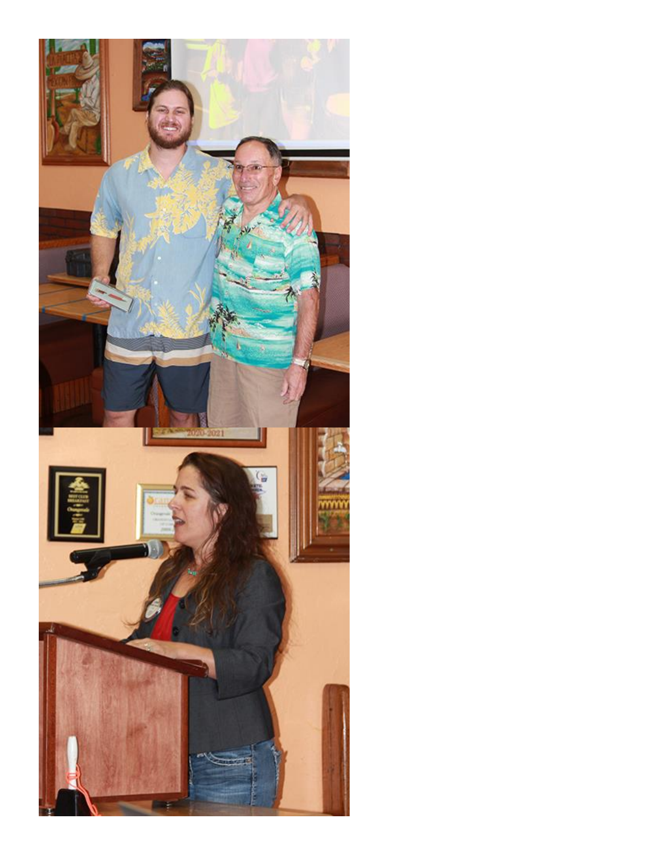